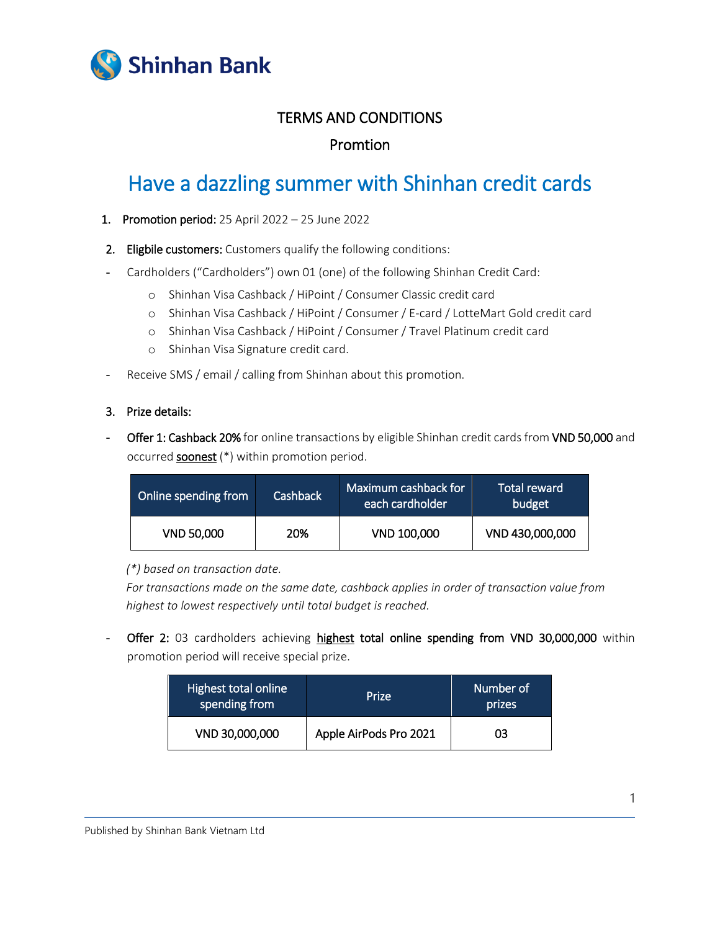

# TERMS AND CONDITIONS

## Promtion

# Have a dazzling summer with Shinhan credit cards

- 1. Promotion period: 25 April 2022 25 June 2022
- 2. Eligbile customers: Customers qualify the following conditions:
- Cardholders ("Cardholders") own 01 (one) of the following Shinhan Credit Card:
	- o Shinhan Visa Cashback / HiPoint / Consumer Classic credit card
	- o Shinhan Visa Cashback / HiPoint / Consumer / E-card / LotteMart Gold credit card
	- o Shinhan Visa Cashback / HiPoint / Consumer / Travel Platinum credit card
	- o Shinhan Visa Signature credit card.
- Receive SMS / email / calling from Shinhan about this promotion.

#### 3. Prize details:

Offer 1: Cashback 20% for online transactions by eligible Shinhan credit cards from VND 50,000 and occurred soonest (\*) within promotion period.

| Online spending from | <b>Cashback</b> | Maximum cashback for<br>each cardholder | Total reward<br>budget |
|----------------------|-----------------|-----------------------------------------|------------------------|
| <b>VND 50,000</b>    | 20%             | VND 100,000                             | VND 430,000,000        |

*(\*) based on transaction date.*

*For transactions made on the same date, cashback applies in order of transaction value from highest to lowest respectively until total budget is reached.*

Offer 2: 03 cardholders achieving highest total online spending from VND 30,000,000 within promotion period will receive special prize.

| Highest total online '<br>spending from | Prize                  | Number of<br>prizes |
|-----------------------------------------|------------------------|---------------------|
| VND 30,000,000                          | Apple AirPods Pro 2021 | 03                  |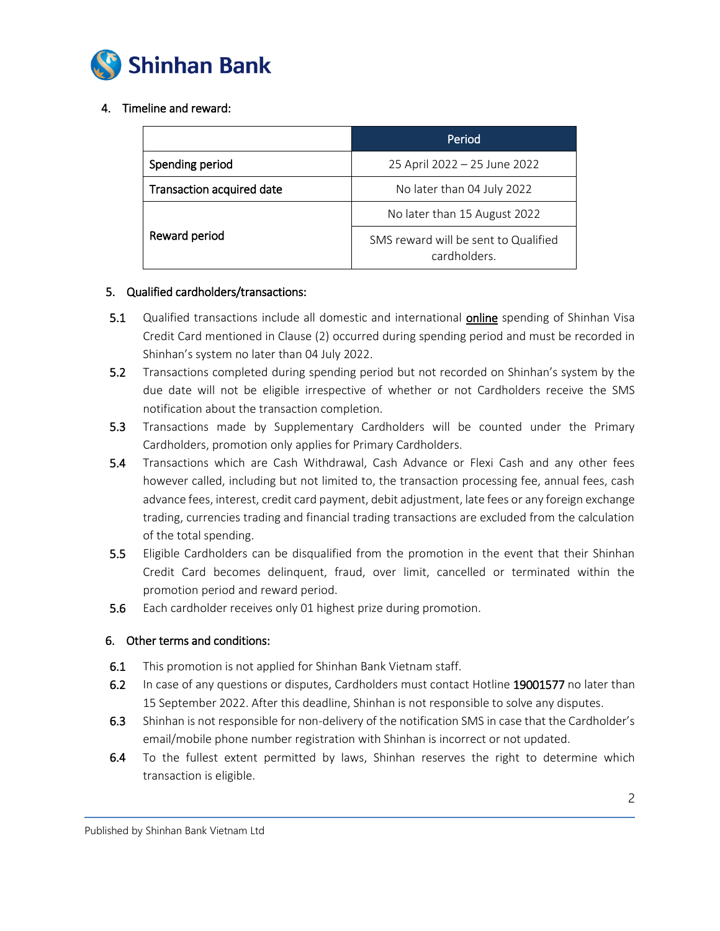

## 4. Timeline and reward:

|                                  | Period                                               |  |
|----------------------------------|------------------------------------------------------|--|
| Spending period                  | 25 April 2022 - 25 June 2022                         |  |
| <b>Transaction acquired date</b> | No later than 04 July 2022                           |  |
|                                  | No later than 15 August 2022                         |  |
| Reward period                    | SMS reward will be sent to Qualified<br>cardholders. |  |

#### 5. Qualified cardholders/transactions:

- 5.1 Qualified transactions include all domestic and international online spending of Shinhan Visa Credit Card mentioned in Clause (2) occurred during spending period and must be recorded in Shinhan's system no later than 04 July 2022.
- 5.2 Transactions completed during spending period but not recorded on Shinhan's system by the due date will not be eligible irrespective of whether or not Cardholders receive the SMS notification about the transaction completion.
- 5.3 Transactions made by Supplementary Cardholders will be counted under the Primary Cardholders, promotion only applies for Primary Cardholders.
- 5.4 Transactions which are Cash Withdrawal, Cash Advance or Flexi Cash and any other fees however called, including but not limited to, the transaction processing fee, annual fees, cash advance fees, interest, credit card payment, debit adjustment, late fees or any foreign exchange trading, currencies trading and financial trading transactions are excluded from the calculation of the total spending.
- 5.5 Eligible Cardholders can be disqualified from the promotion in the event that their Shinhan Credit Card becomes delinquent, fraud, over limit, cancelled or terminated within the promotion period and reward period.
- 5.6 Each cardholder receives only 01 highest prize during promotion.

## 6. Other terms and conditions:

- 6.1 This promotion is not applied for Shinhan Bank Vietnam staff.
- 6.2 In case of any questions or disputes, Cardholders must contact Hotline 19001577 no later than 15 September 2022. After this deadline, Shinhan is not responsible to solve any disputes.
- 6.3 Shinhan is not responsible for non-delivery of the notification SMS in case that the Cardholder's email/mobile phone number registration with Shinhan is incorrect or not updated.
- 6.4 To the fullest extent permitted by laws, Shinhan reserves the right to determine which transaction is eligible.